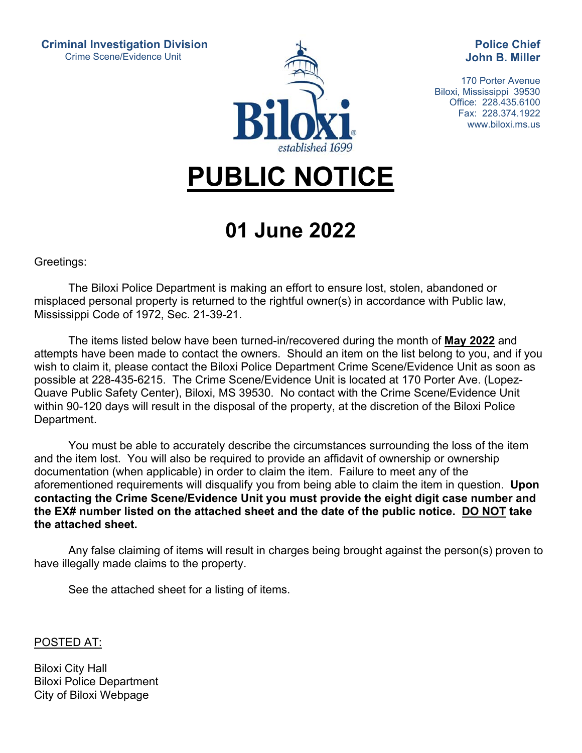**Criminal Investigation Division**  Crime Scene/Evidence Unit



**Police Chief John B. Miller** 

170 Porter Avenue Biloxi, Mississippi 39530 Office: 228.435.6100 Fax: 228.374.1922 www.biloxi.ms.us

## **PUBLIC NOTICE**

## **01 June 2022**

Greetings:

 The Biloxi Police Department is making an effort to ensure lost, stolen, abandoned or misplaced personal property is returned to the rightful owner(s) in accordance with Public law, Mississippi Code of 1972, Sec. 21-39-21.

 The items listed below have been turned-in/recovered during the month of **May 2022** and attempts have been made to contact the owners. Should an item on the list belong to you, and if you wish to claim it, please contact the Biloxi Police Department Crime Scene/Evidence Unit as soon as possible at 228-435-6215. The Crime Scene/Evidence Unit is located at 170 Porter Ave. (Lopez-Quave Public Safety Center), Biloxi, MS 39530. No contact with the Crime Scene/Evidence Unit within 90-120 days will result in the disposal of the property, at the discretion of the Biloxi Police Department.

 You must be able to accurately describe the circumstances surrounding the loss of the item and the item lost. You will also be required to provide an affidavit of ownership or ownership documentation (when applicable) in order to claim the item. Failure to meet any of the aforementioned requirements will disqualify you from being able to claim the item in question. **Upon contacting the Crime Scene/Evidence Unit you must provide the eight digit case number and the EX# number listed on the attached sheet and the date of the public notice. DO NOT take the attached sheet.**

 Any false claiming of items will result in charges being brought against the person(s) proven to have illegally made claims to the property.

See the attached sheet for a listing of items.

POSTED AT:

Biloxi City Hall Biloxi Police Department City of Biloxi Webpage